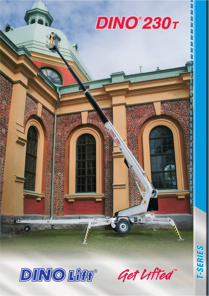



Get Lifted"